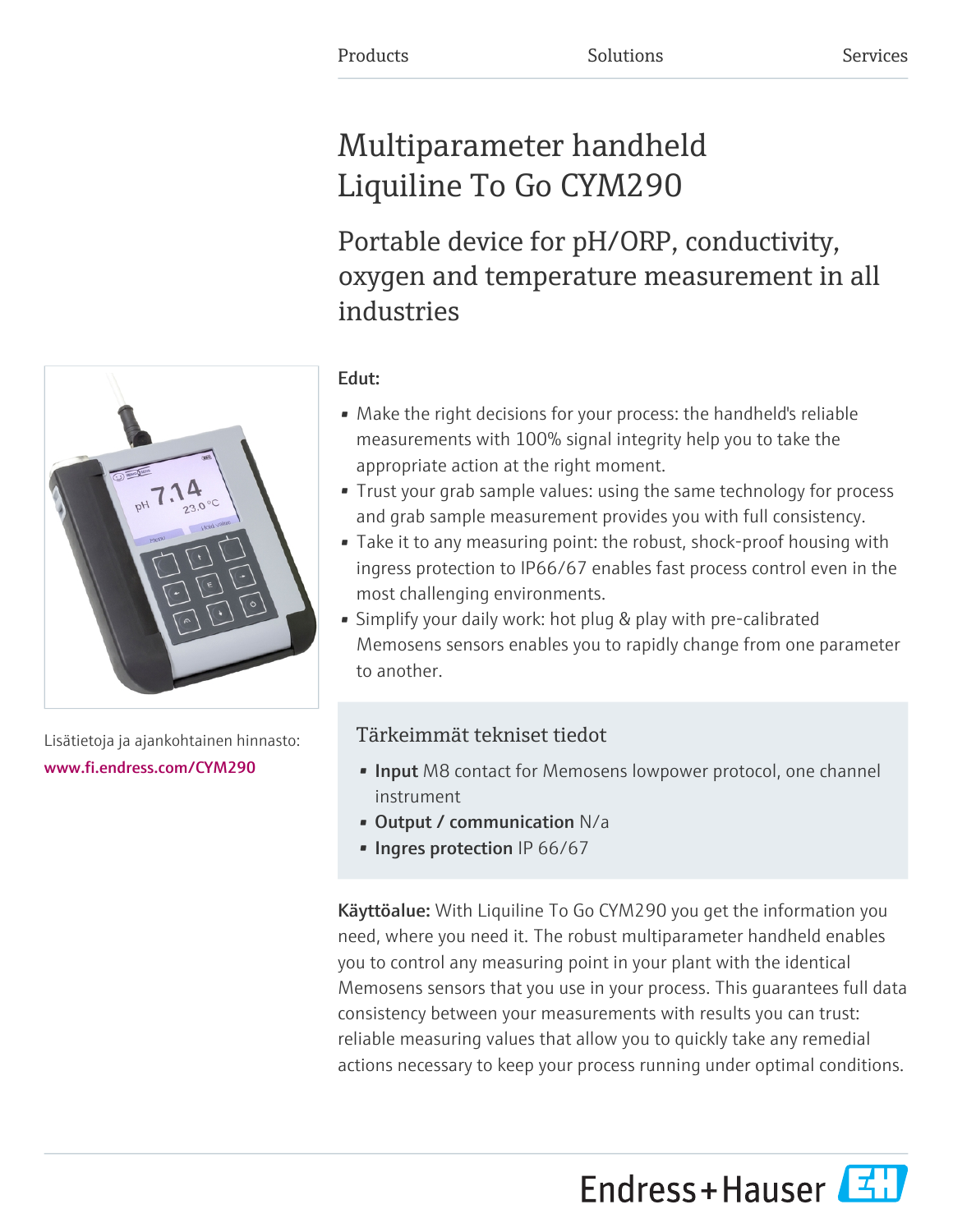# Multiparameter handheld Liquiline To Go CYM290

Portable device for pH/ORP, conductivity, oxygen and temperature measurement in all industries



Lisätietoja ja ajankohtainen hinnasto: [www.fi.endress.com/CYM290](https://www.fi.endress.com/CYM290)

## Edut:

- Make the right decisions for your process: the handheld's reliable measurements with 100% signal integrity help you to take the appropriate action at the right moment.
- Trust your grab sample values: using the same technology for process and grab sample measurement provides you with full consistency.
- Take it to any measuring point: the robust, shock-proof housing with ingress protection to IP66/67 enables fast process control even in the most challenging environments.
- Simplify your daily work: hot plug & play with pre-calibrated Memosens sensors enables you to rapidly change from one parameter to another.

## Tärkeimmät tekniset tiedot

- **Input** M8 contact for Memosens lowpower protocol, one channel instrument
- Output / communication N/a
- Ingres protection IP 66/67

Käyttöalue: With Liquiline To Go CYM290 you get the information you need, where you need it. The robust multiparameter handheld enables you to control any measuring point in your plant with the identical Memosens sensors that you use in your process. This guarantees full data consistency between your measurements with results you can trust: reliable measuring values that allow you to quickly take any remedial actions necessary to keep your process running under optimal conditions.

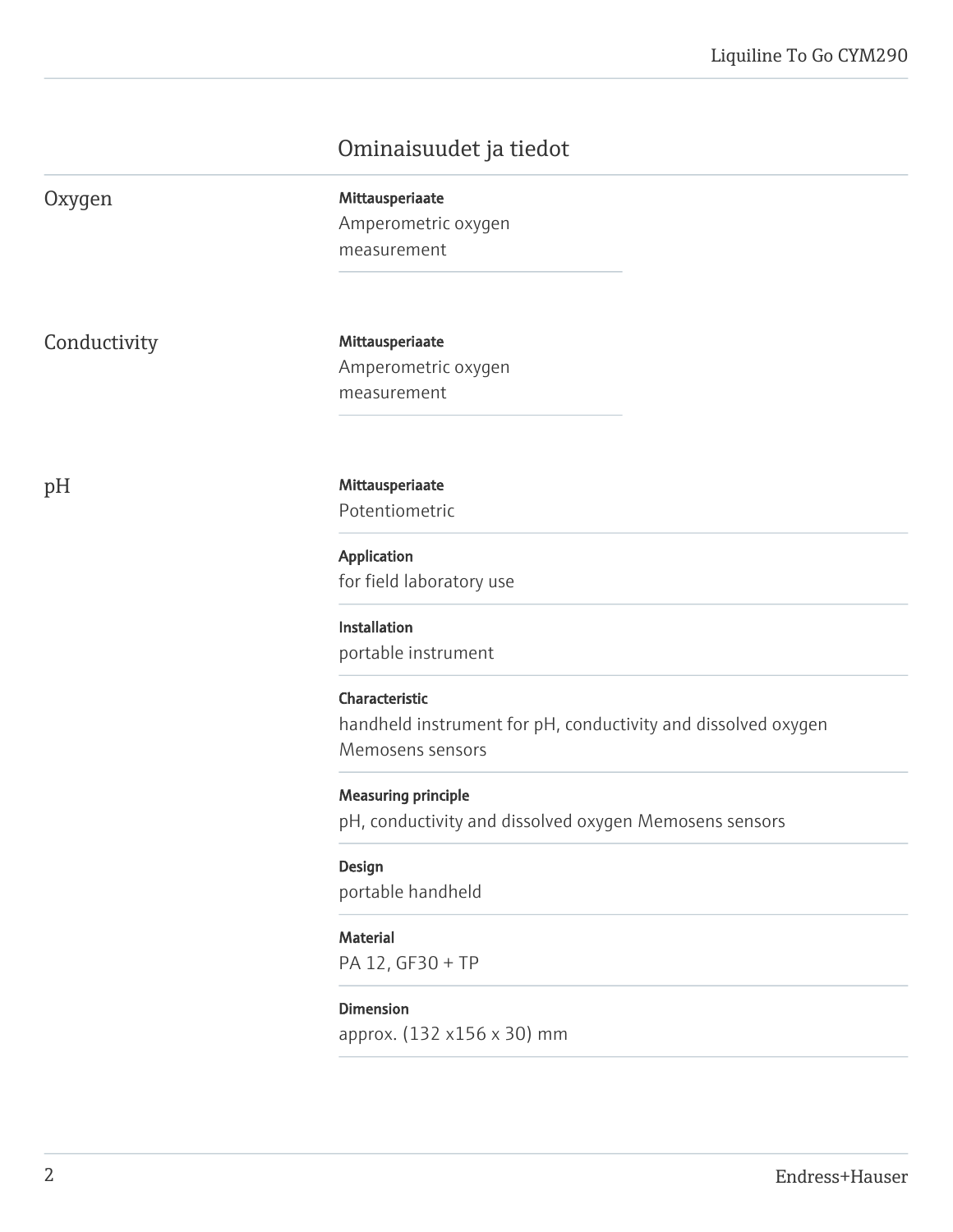## Ominaisuudet ja tiedot

| Oxygen       | Mittausperiaate<br>Amperometric oxygen<br>measurement                                               |
|--------------|-----------------------------------------------------------------------------------------------------|
| Conductivity | Mittausperiaate<br>Amperometric oxygen<br>measurement                                               |
| pH           | Mittausperiaate<br>Potentiometric                                                                   |
|              | Application<br>for field laboratory use                                                             |
|              | Installation<br>portable instrument                                                                 |
|              | Characteristic<br>handheld instrument for pH, conductivity and dissolved oxygen<br>Memosens sensors |
|              | <b>Measuring principle</b><br>pH, conductivity and dissolved oxygen Memosens sensors                |
|              | Design<br>portable handheld                                                                         |
|              | <b>Material</b><br>PA 12, GF30 + TP                                                                 |
|              | <b>Dimension</b><br>approx. (132 x156 x 30) mm                                                      |